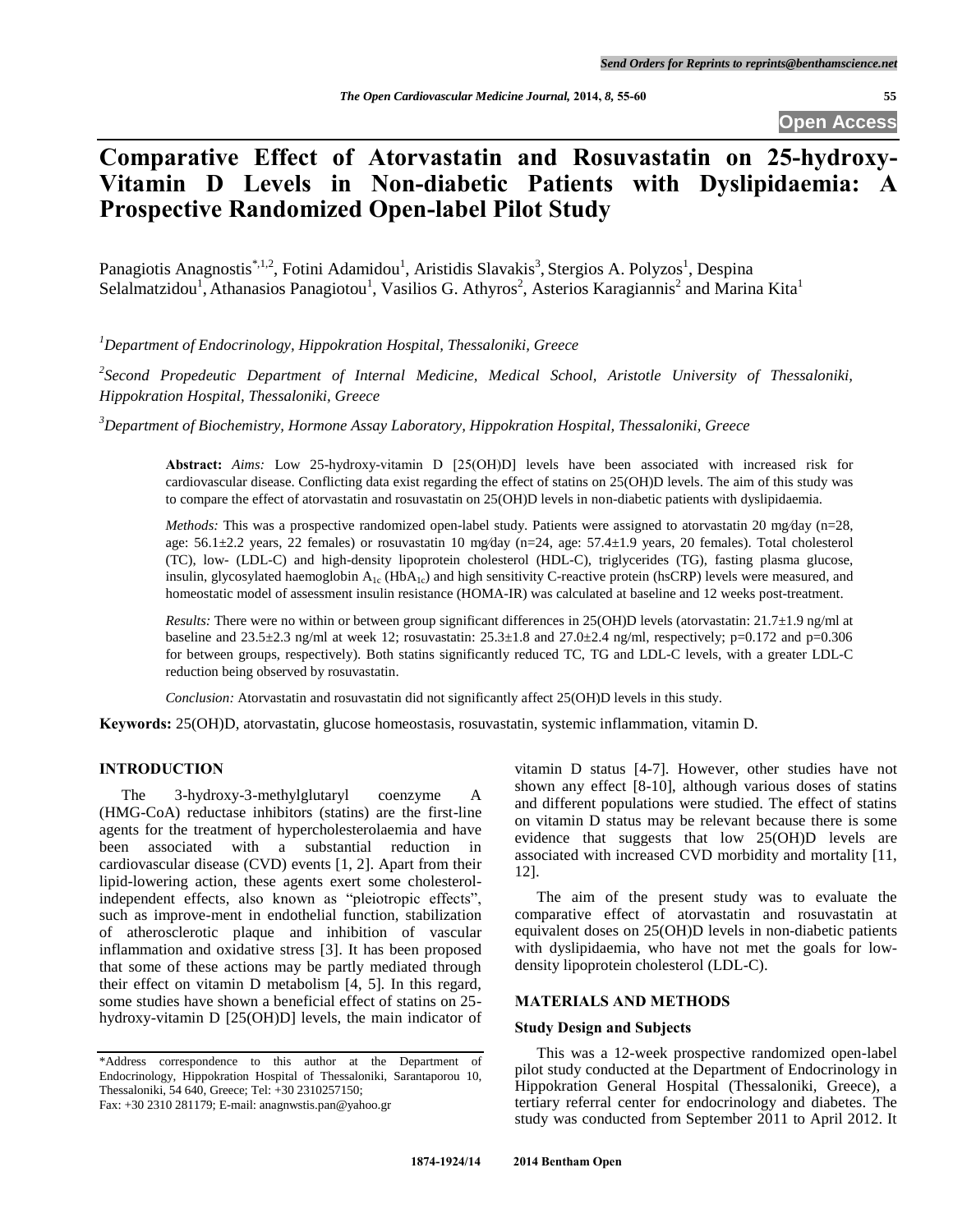# **Comparative Effect of Atorvastatin and Rosuvastatin on 25-hydroxy-Vitamin D Levels in Non-diabetic Patients with Dyslipidaemia: A Prospective Randomized Open-label Pilot Study**

Panagiotis Anagnostis<sup>\*,1,2</sup>, Fotini Adamidou<sup>1</sup>, Aristidis Slavakis<sup>3</sup>, Stergios A. Polyzos<sup>1</sup>, Despina Selalmatzidou<sup>1</sup>, Athanasios Panagiotou<sup>1</sup>, Vasilios G. Athyros<sup>2</sup>, Asterios Karagiannis<sup>2</sup> and Marina Kita<sup>1</sup>

*<sup>1</sup>Department of Endocrinology, Hippokration Hospital, Thessaloniki, Greece*

*2 Second Propedeutic Department of Internal Medicine, Medical School, Aristotle University of Thessaloniki, Hippokration Hospital, Thessaloniki, Greece*

*<sup>3</sup>Department of Biochemistry, Hormone Assay Laboratory, Hippokration Hospital, Thessaloniki, Greece*

**Abstract:** *Aims:* Low 25-hydroxy-vitamin D [25(ΟΗ)D] levels have been associated with increased risk for cardiovascular disease. Conflicting data exist regarding the effect of statins on 25(OH)D levels. The aim of this study was to compare the effect of atorvastatin and rosuvastatin on 25(OH)D levels in non-diabetic patients with dyslipidaemia.

*Methods:* This was a prospective randomized open-label study. Patients were assigned to atorvastatin 20 mg/day (n=28, age: 56.1±2.2 years, 22 females) or rosuvastatin 10 mg⁄day (n=24, age: 57.4±1.9 years, 20 females). Total cholesterol (TC), low- (LDL-C) and high-density lipoprotein cholesterol (HDL-C), triglycerides (TG), fasting plasma glucose, insulin, glycosylated haemoglobin  $A_{1c}$  (Hb $A_{1c}$ ) and high sensitivity C-reactive protein (hsCRP) levels were measured, and homeostatic model of assessment insulin resistance (HOMA-IR) was calculated at baseline and 12 weeks post-treatment.

*Results:* There were no within or between group significant differences in 25(OH)D levels (atorvastatin: 21.7±1.9 ng/ml at baseline and  $23.5\pm2.3$  ng/ml at week 12; rosuvastatin:  $25.3\pm1.8$  and  $27.0\pm2.4$  ng/ml, respectively; p=0.172 and p=0.306 for between groups, respectively). Both statins significantly reduced TC, TG and LDL-C levels, with a greater LDL-C reduction being observed by rosuvastatin.

*Conclusion:* Atorvastatin and rosuvastatin did not significantly affect 25(OH)D levels in this study.

**Keywords:** 25(OH)D, atorvastatin, glucose homeostasis, rosuvastatin, systemic inflammation, vitamin D.

### **INTRODUCTION**

The 3-hydroxy-3-methylglutaryl coenzyme A (HMG-CoA) reductase inhibitors (statins) are the first-line agents for the treatment of hypercholesterolaemia and have been associated with a substantial reduction in cardiovascular disease (CVD) events [1, 2]. Apart from their lipid-lowering action, these agents exert some cholesterolindependent effects, also known as "pleiotropic effects", such as improve-ment in endothelial function, stabilization of atherosclerotic plaque and inhibition of vascular inflammation and oxidative stress [3]. It has been proposed that some of these actions may be partly mediated through their effect on vitamin D metabolism [4, 5]. In this regard, some studies have shown a beneficial effect of statins on 25 hydroxy-vitamin D [25(OH)D] levels, the main indicator of

\*Address correspondence to this author at the Department of Endocrinology, Hippokration Hospital of Thessaloniki, Sarantaporou 10, Thessaloniki, 54 640, Greece; Tel: +30 2310257150;

vitamin D status [4-7]. However, other studies have not shown any effect [8-10], although various doses of statins and different populations were studied. The effect of statins on vitamin D status may be relevant because there is some evidence that suggests that low 25(OH)D levels are associated with increased CVD morbidity and mortality [11, 12].

The aim of the present study was to evaluate the comparative effect of atorvastatin and rosuvastatin at equivalent doses on 25(OH)D levels in non-diabetic patients with dyslipidaemia, who have not met the goals for lowdensity lipoprotein cholesterol (LDL-C).

### **MATERIALS AND METHODS**

### **Study Design and Subjects**

This was a 12-week prospective randomized open-label pilot study conducted at the Department of Endocrinology in Hippokration General Hospital (Thessaloniki, Greece), a tertiary referral center for endocrinology and diabetes. The study was conducted from September 2011 to April 2012. It

Fax: +30 2310 281179; E-mail: anagnwstis.pan@yahoo.gr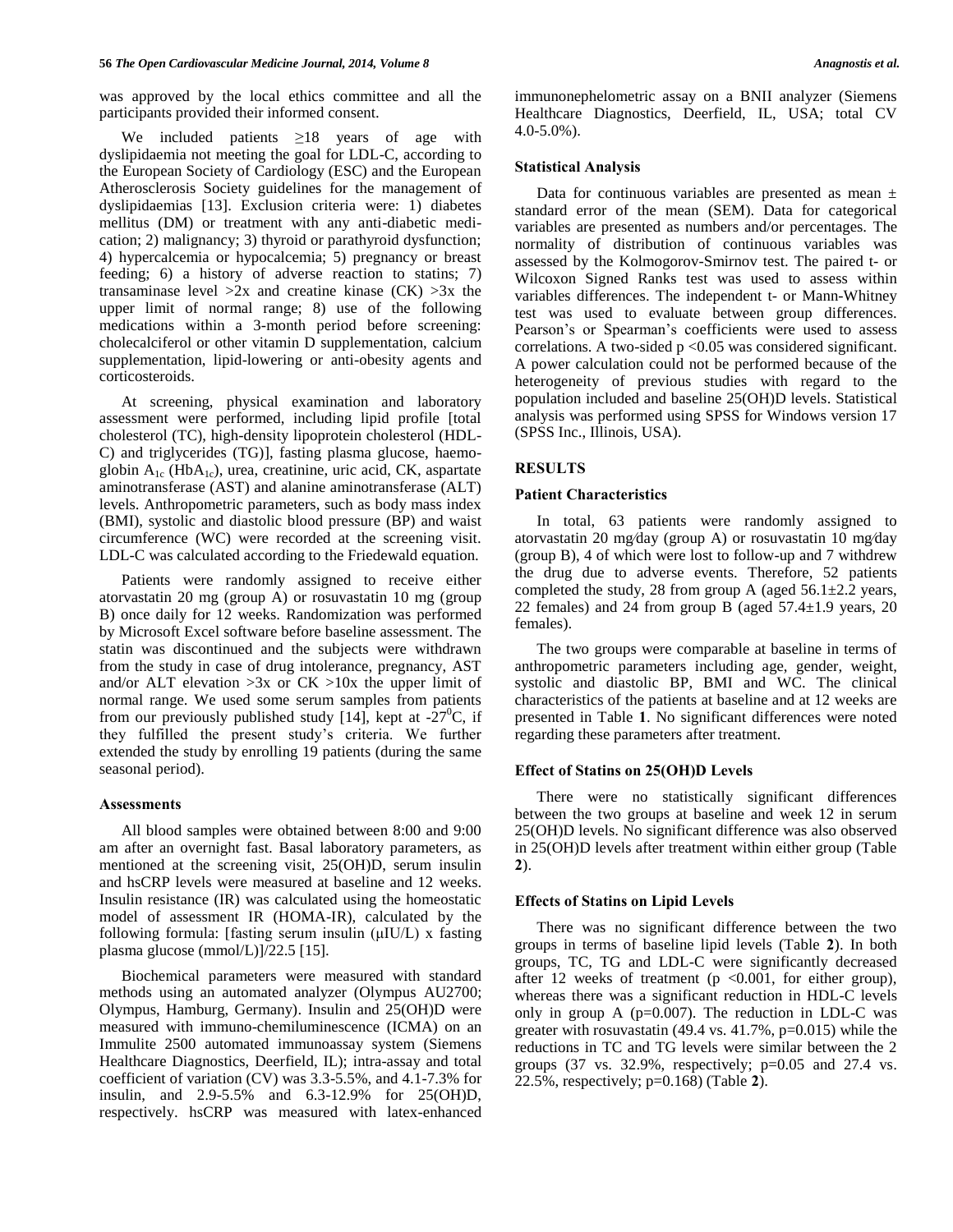was approved by the local ethics committee and all the participants provided their informed consent.

We included patients ≥18 years of age with dyslipidaemia not meeting the goal for LDL-C, according to the European Society of Cardiology (ESC) and the European Atherosclerosis Society guidelines for the management of dyslipidaemias [13]. Exclusion criteria were: 1) diabetes mellitus (DM) or treatment with any anti-diabetic medication; 2) malignancy; 3) thyroid or parathyroid dysfunction; 4) hypercalcemia or hypocalcemia; 5) pregnancy or breast feeding; 6) a history of adverse reaction to statins; 7) transaminase level  $>2x$  and creatine kinase (CK)  $>3x$  the upper limit of normal range; 8) use of the following medications within a 3-month period before screening: cholecalciferol or other vitamin D supplementation, calcium supplementation, lipid-lowering or anti-obesity agents and corticosteroids.

At screening, physical examination and laboratory assessment were performed, including lipid profile [total cholesterol (TC), high-density lipoprotein cholesterol (HDL-C) and triglycerides (TG)], fasting plasma glucose, haemoglobin A<sub>1c</sub> (HbA<sub>1c</sub>), urea, creatinine, uric acid, CK, aspartate aminotransferase (AST) and alanine aminotransferase (ALT) levels. Anthropometric parameters, such as body mass index (BMI), systolic and diastolic blood pressure (BP) and waist circumference (WC) were recorded at the screening visit. LDL-C was calculated according to the Friedewald equation.

Patients were randomly assigned to receive either atorvastatin 20 mg (group A) or rosuvastatin 10 mg (group B) once daily for 12 weeks. Randomization was performed by Microsoft Excel software before baseline assessment. The statin was discontinued and the subjects were withdrawn from the study in case of drug intolerance, pregnancy, AST and/or ALT elevation  $>3x$  or CK  $>10x$  the upper limit of normal range. We used some serum samples from patients from our previously published study [14], kept at  $-27^{\circ}$ C, if they fulfilled the present study's criteria. We further extended the study by enrolling 19 patients (during the same seasonal period).

### **Assessments**

All blood samples were obtained between 8:00 and 9:00 am after an overnight fast. Basal laboratory parameters, as mentioned at the screening visit, 25(OH)D, serum insulin and hsCRP levels were measured at baseline and 12 weeks. Insulin resistance (IR) was calculated using the homeostatic model of assessment IR (HOMA-IR), calculated by the following formula: [fasting serum insulin (μIU/L) x fasting plasma glucose (mmol/L)]/22.5 [15].

Biochemical parameters were measured with standard methods using an automated analyzer (Olympus AU2700; Olympus, Hamburg, Germany). Insulin and 25(OH)D were measured with immuno-chemiluminescence (ICMA) on an Immulite 2500 automated immunoassay system (Siemens Healthcare Diagnostics, Deerfield, IL); intra-assay and total coefficient of variation (CV) was 3.3-5.5%, and 4.1-7.3% for insulin, and 2.9-5.5% and 6.3-12.9% for 25(OH)D, respectively. hsCRP was measured with latex-enhanced immunonephelometric assay on a BNII analyzer (Siemens Healthcare Diagnostics, Deerfield, IL, USA; total CV 4.0-5.0%).

#### **Statistical Analysis**

Data for continuous variables are presented as mean  $\pm$ standard error of the mean (SEM). Data for categorical variables are presented as numbers and/or percentages. The normality of distribution of continuous variables was assessed by the Kolmogorov-Smirnov test. The paired t- or Wilcoxon Signed Ranks test was used to assess within variables differences. The independent t- or Mann-Whitney test was used to evaluate between group differences. Pearson's or Spearman's coefficients were used to assess correlations. A two-sided  $p \le 0.05$  was considered significant. A power calculation could not be performed because of the heterogeneity of previous studies with regard to the population included and baseline 25(OH)D levels. Statistical analysis was performed using SPSS for Windows version 17 (SPSS Inc., Illinois, USA).

### **RESULTS**

### **Patient Characteristics**

In total, 63 patients were randomly assigned to atorvastatin 20 mg⁄day (group A) or rosuvastatin 10 mg⁄day (group B), 4 of which were lost to follow-up and 7 withdrew the drug due to adverse events. Therefore, 52 patients completed the study, 28 from group A (aged  $56.1 \pm 2.2$  years, 22 females) and 24 from group B (aged  $57.4\pm1.9$  years, 20 females).

The two groups were comparable at baseline in terms of anthropometric parameters including age, gender, weight, systolic and diastolic BP, BMI and WC. The clinical characteristics of the patients at baseline and at 12 weeks are presented in Table **1**. No significant differences were noted regarding these parameters after treatment.

### **Effect of Statins on 25(OH)D Levels**

There were no statistically significant differences between the two groups at baseline and week 12 in serum 25(OH)D levels. No significant difference was also observed in 25(OH)D levels after treatment within either group (Table **2**).

# **Effects of Statins on Lipid Levels**

There was no significant difference between the two groups in terms of baseline lipid levels (Table **2**). In both groups, TC, TG and LDL-C were significantly decreased after 12 weeks of treatment ( $p \le 0.001$ , for either group), whereas there was a significant reduction in HDL-C levels only in group A  $(p=0.007)$ . The reduction in LDL-C was greater with rosuvastatin  $(49.4 \text{ vs. } 41.7\%$ ,  $p=0.015)$  while the reductions in TC and TG levels were similar between the 2 groups (37 vs. 32.9%, respectively; p=0.05 and 27.4 vs. 22.5%, respectively; p=0.168) (Table **2**).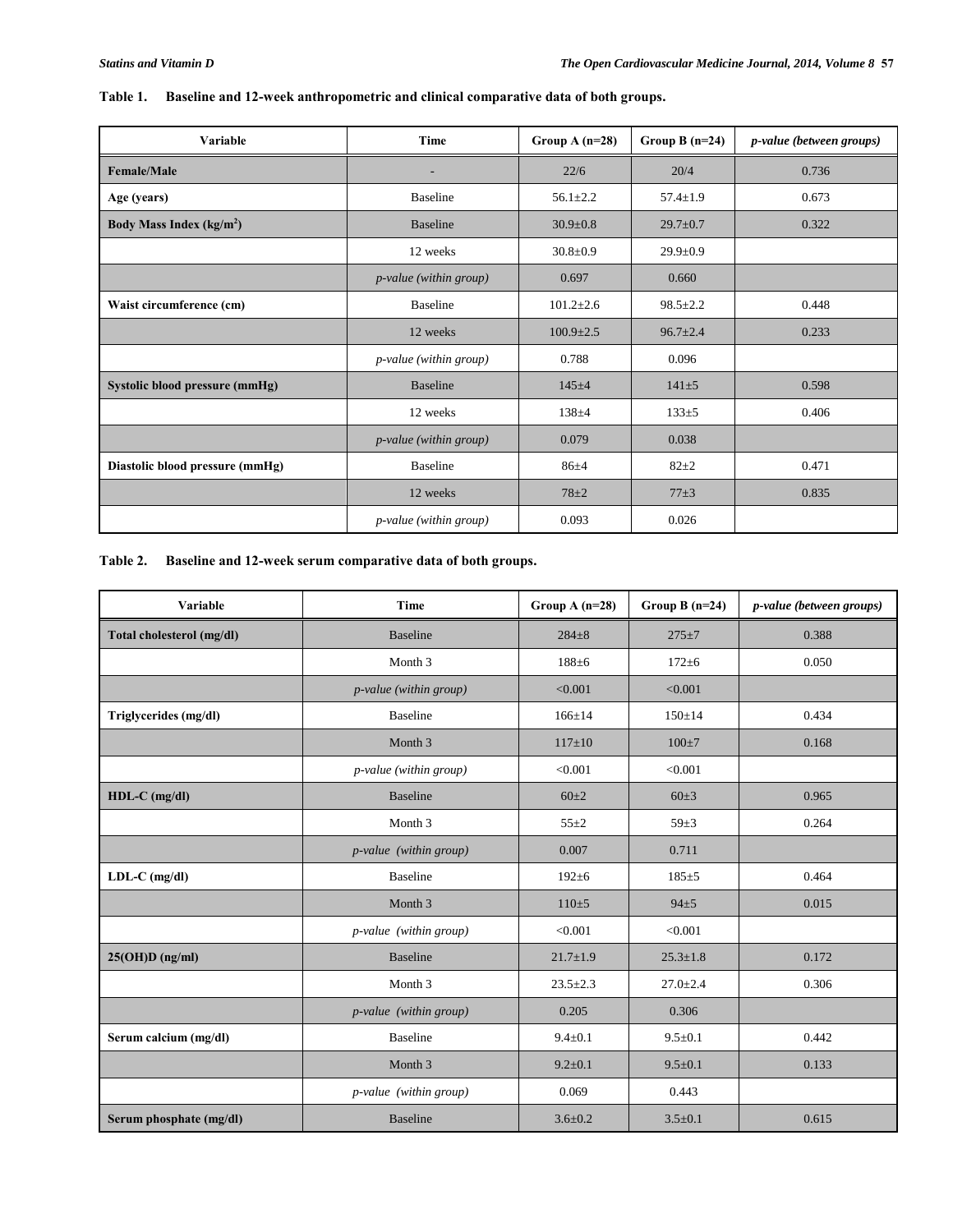| Variable                             | Time                          | Group $A(n=28)$ | Group B $(n=24)$ | <i>p-value</i> (between groups) |
|--------------------------------------|-------------------------------|-----------------|------------------|---------------------------------|
| <b>Female/Male</b>                   |                               | 22/6            | 20/4             | 0.736                           |
| Age (years)                          | <b>Baseline</b>               | $56.1 \pm 2.2$  | $57.4 \pm 1.9$   | 0.673                           |
| Body Mass Index (kg/m <sup>2</sup> ) | <b>Baseline</b>               | $30.9 \pm 0.8$  | $29.7 \pm 0.7$   | 0.322                           |
|                                      | 12 weeks                      | $30.8 \pm 0.9$  | $29.9 \pm 0.9$   |                                 |
|                                      | <i>p-value</i> (within group) | 0.697           | 0.660            |                                 |
| Waist circumference (cm)             | <b>Baseline</b>               | $101.2 \pm 2.6$ | $98.5 \pm 2.2$   | 0.448                           |
|                                      | 12 weeks                      | $100.9 \pm 2.5$ | $96.7 \pm 2.4$   | 0.233                           |
|                                      | <i>p-value</i> (within group) | 0.788           | 0.096            |                                 |
| Systolic blood pressure (mmHg)       | <b>Baseline</b>               | $145 + 4$       | $141 + 5$        | 0.598                           |
|                                      | 12 weeks                      | $138 + 4$       | $133+5$          | 0.406                           |
|                                      | <i>p-value</i> (within group) | 0.079           | 0.038            |                                 |
| Diastolic blood pressure (mmHg)      | <b>Baseline</b>               | $86 + 4$        | $82+2$           | 0.471                           |
|                                      | 12 weeks                      | $78 + 2$        | $77\pm3$         | 0.835                           |
|                                      | <i>p-value</i> (within group) | 0.093           | 0.026            |                                 |

# **Table 1. Baseline and 12-week anthropometric and clinical comparative data of both groups.**

# **Table 2. Baseline and 12-week serum comparative data of both groups.**

| Variable                  | <b>Time</b>                   | Group A $(n=28)$ | Group B $(n=24)$ | <i>p-value</i> (between groups) |
|---------------------------|-------------------------------|------------------|------------------|---------------------------------|
| Total cholesterol (mg/dl) | <b>Baseline</b>               | $284 + 8$        | $275 + 7$        | 0.388                           |
|                           | Month 3                       | $188 + 6$        | $172 + 6$        | 0.050                           |
|                           | <i>p-value</i> (within group) | < 0.001          | < 0.001          |                                 |
| Triglycerides (mg/dl)     | <b>Baseline</b>               | $166 \pm 14$     | $150 \pm 14$     | 0.434                           |
|                           | Month 3                       | $117 \pm 10$     | $100 \pm 7$      | 0.168                           |
|                           | <i>p-value</i> (within group) | < 0.001          | < 0.001          |                                 |
| $HDL-C$ (mg/dl)           | <b>Baseline</b>               | $60+2$           | $60 \pm 3$       | 0.965                           |
|                           | Month 3                       | $55 + 2$         | $59 + 3$         | 0.264                           |
|                           | <i>p-value</i> (within group) | 0.007            | 0.711            |                                 |
| $LDL-C$ (mg/dl)           | <b>Baseline</b>               | $192 \pm 6$      | $185 + 5$        | 0.464                           |
|                           | Month 3                       | $110+5$          | $94+5$           | 0.015                           |
|                           | <i>p-value</i> (within group) | < 0.001          | < 0.001          |                                 |
| $25(OH)D$ (ng/ml)         | <b>Baseline</b>               | $21.7 \pm 1.9$   | $25.3 \pm 1.8$   | 0.172                           |
|                           | Month 3                       | $23.5 \pm 2.3$   | $27.0 \pm 2.4$   | 0.306                           |
|                           | <i>p-value</i> (within group) | 0.205            | 0.306            |                                 |
| Serum calcium (mg/dl)     | <b>Baseline</b>               | $9.4 \pm 0.1$    | $9.5 \pm 0.1$    | 0.442                           |
|                           | Month 3                       | $9.2 \pm 0.1$    | $9.5 \pm 0.1$    | 0.133                           |
|                           | <i>p-value</i> (within group) | 0.069            | 0.443            |                                 |
| Serum phosphate (mg/dl)   | <b>Baseline</b>               | $3.6 \pm 0.2$    | $3.5 \pm 0.1$    | 0.615                           |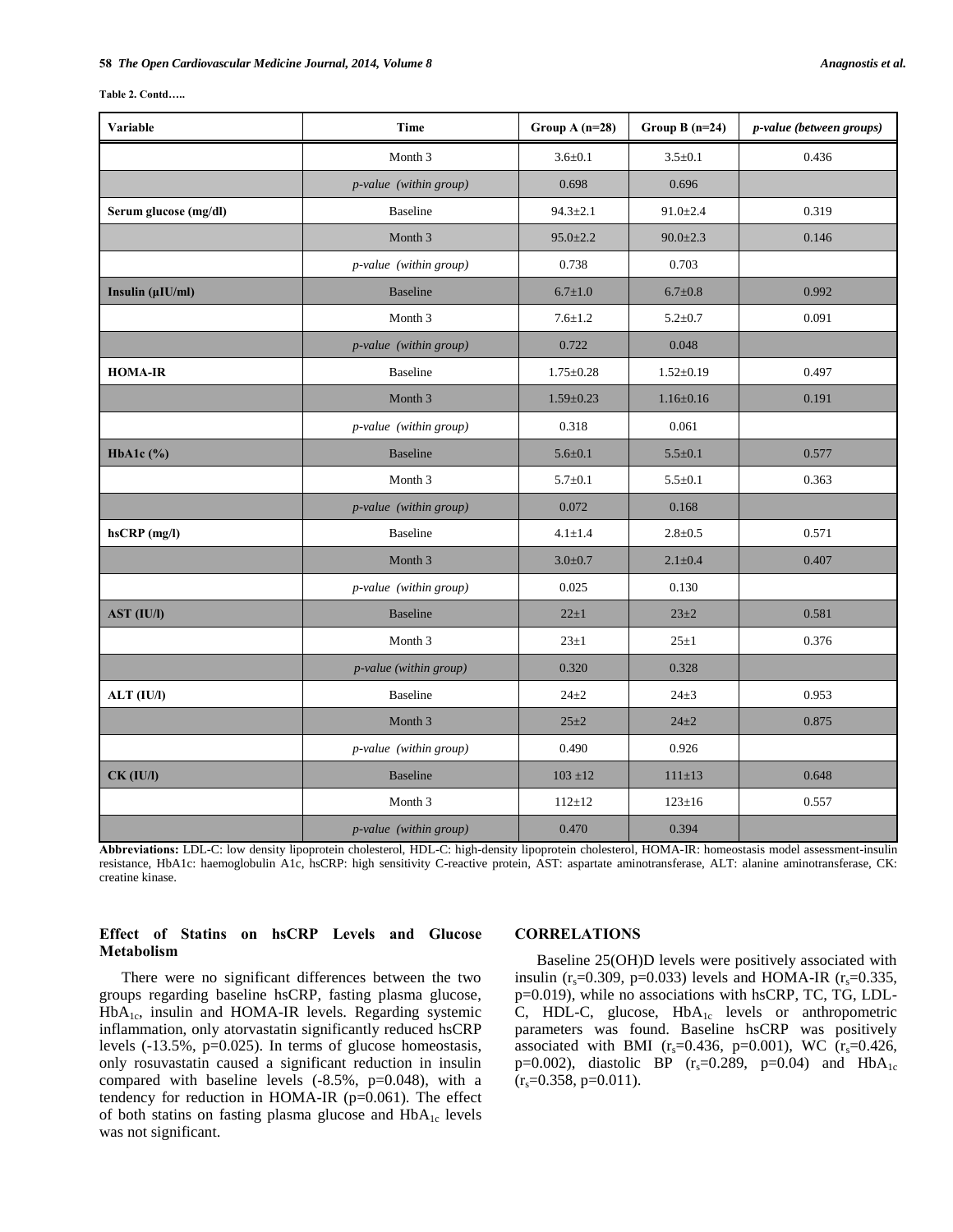| Table 2. Contd |  |
|----------------|--|
|----------------|--|

| <b>Variable</b>       | <b>Time</b>                   | Group $A(n=28)$ | Group B $(n=24)$ | p-value (between groups) |
|-----------------------|-------------------------------|-----------------|------------------|--------------------------|
|                       | Month 3                       | $3.6 \pm 0.1$   | $3.5 \pm 0.1$    | 0.436                    |
|                       | p-value (within group)        | 0.698           | 0.696            |                          |
| Serum glucose (mg/dl) | <b>Baseline</b>               | $94.3 \pm 2.1$  | $91.0 \pm 2.4$   | 0.319                    |
|                       | Month 3                       | $95.0 \pm 2.2$  | $90.0 \pm 2.3$   | 0.146                    |
|                       | p-value (within group)        | 0.738           | 0.703            |                          |
| Insulin (µIU/ml)      | <b>Baseline</b>               | $6.7 \pm 1.0$   | $6.7 \pm 0.8$    | 0.992                    |
|                       | Month <sub>3</sub>            | $7.6 \pm 1.2$   | $5.2 \pm 0.7$    | 0.091                    |
|                       | p-value (within group)        | 0.722           | 0.048            |                          |
| <b>HOMA-IR</b>        | <b>Baseline</b>               | $1.75 \pm 0.28$ | $1.52 \pm 0.19$  | 0.497                    |
|                       | Month 3                       | $1.59 \pm 0.23$ | $1.16 \pm 0.16$  | 0.191                    |
|                       | <i>p-value</i> (within group) | 0.318           | 0.061            |                          |
| HbA1c $(\% )$         | <b>Baseline</b>               | $5.6 \pm 0.1$   | $5.5 \pm 0.1$    | 0.577                    |
|                       | Month 3                       | $5.7 \pm 0.1$   | $5.5 \pm 0.1$    | 0.363                    |
|                       | p-value (within group)        | 0.072           | 0.168            |                          |
| $h$ s $CRP$ (mg/l)    | <b>Baseline</b>               | $4.1 \pm 1.4$   | $2.8 \pm 0.5$    | 0.571                    |
|                       | Month 3                       | $3.0 + 0.7$     | $2.1 \pm 0.4$    | 0.407                    |
|                       | p-value (within group)        | 0.025           | 0.130            |                          |
| AST (IU/I)            | <b>Baseline</b>               | $22 \pm 1$      | $23 \pm 2$       | 0.581                    |
|                       | Month 3                       | $23 \pm 1$      | $25 \pm 1$       | 0.376                    |
|                       | p-value (within group)        | 0.320           | 0.328            |                          |
| ALT (IU/I)            | <b>Baseline</b>               | $24 + 2$        | $24 \pm 3$       | 0.953                    |
|                       | Month <sub>3</sub>            | $25 + 2$        | $24 + 2$         | 0.875                    |
|                       | p-value (within group)        | 0.490           | 0.926            |                          |
| $CK$ (IU/I)           | <b>Baseline</b>               | $103 \pm 12$    | $111 \pm 13$     | 0.648                    |
|                       | Month 3                       | $112 \pm 12$    | $123 \pm 16$     | 0.557                    |
|                       | p-value (within group)        | 0.470           | 0.394            |                          |

**Abbreviations:** LDL-C: low density lipoprotein cholesterol, HDL-C: high-density lipoprotein cholesterol, HOMA-IR: homeostasis model assessment-insulin resistance, HbA1c: haemoglobulin A1c, hsCRP: high sensitivity C-reactive protein, AST: aspartate aminotransferase, ALT: alanine aminotransferase, CK: creatine kinase.

### **Effect of Statins on hsCRP Levels and Glucose Metabolism**

## There were no significant differences between the two groups regarding baseline hsCRP, fasting plasma glucose,  $HbA<sub>1c</sub>$ , insulin and HOMA-IR levels. Regarding systemic inflammation, only atorvastatin significantly reduced hsCRP levels (-13.5%, p=0.025). In terms of glucose homeostasis, only rosuvastatin caused a significant reduction in insulin compared with baseline levels (-8.5%, p=0.048), with a tendency for reduction in HOMA-IR (p=0.061). The effect of both statins on fasting plasma glucose and  $HbA_{1c}$  levels was not significant.

### **CORRELATIONS**

Baseline 25(OH)D levels were positively associated with insulin (r<sub>s</sub>=0.309, p=0.033) levels and HOMA-IR (r<sub>s</sub>=0.335, p=0.019), while no associations with hsCRP, TC, TG, LDL-C, HDL-C, glucose, HbA<sub>1c</sub> levels or anthropometric parameters was found. Baseline hsCRP was positively associated with BMI ( $r_s$ =0.436, p=0.001), WC ( $r_s$ =0.426, p=0.002), diastolic BP ( $r_s$ =0.289, p=0.04) and HbA<sub>1c</sub>  $(r_s=0.358, p=0.011).$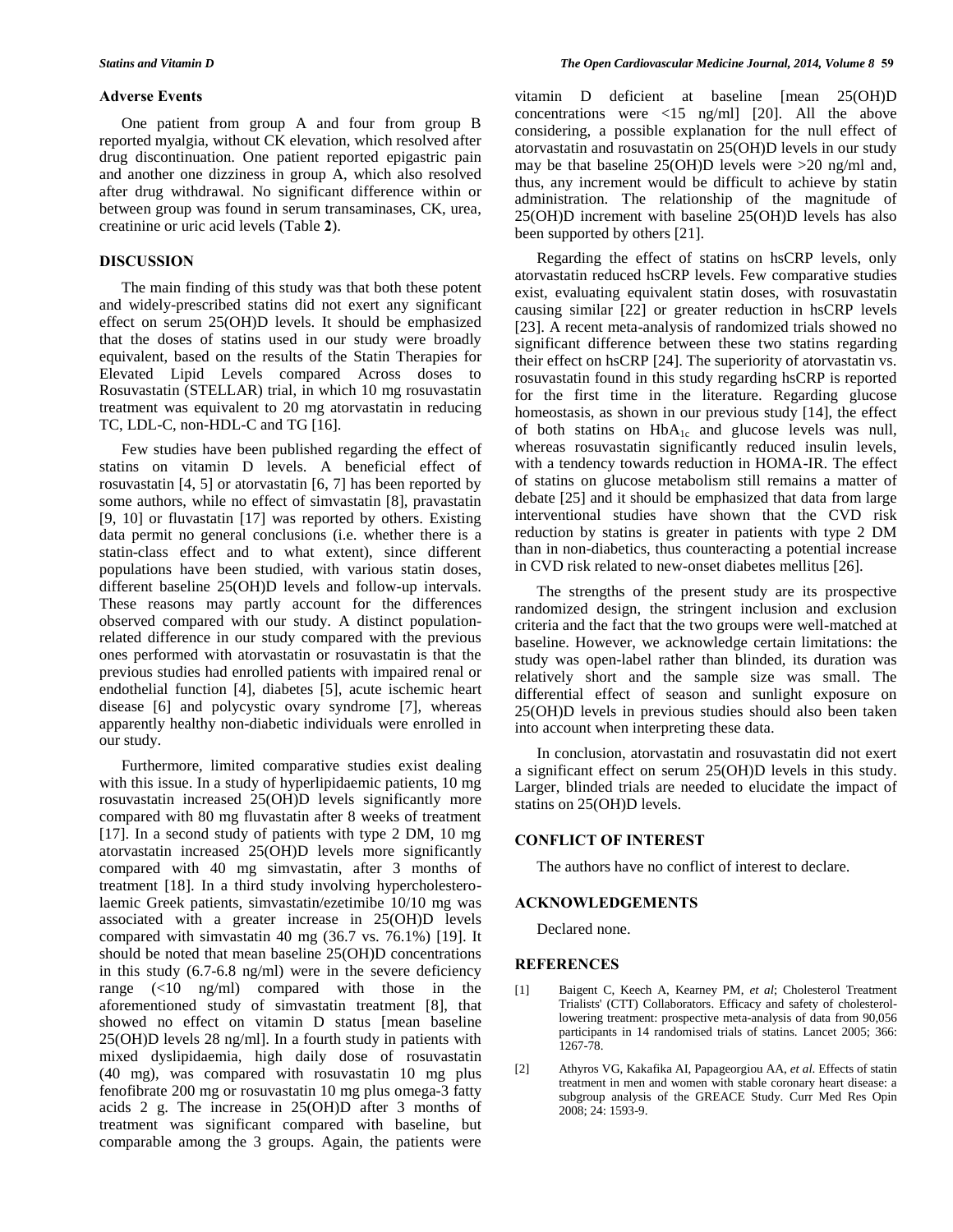# **Adverse Events**

One patient from group A and four from group B reported myalgia, without CK elevation, which resolved after drug discontinuation. One patient reported epigastric pain and another one dizziness in group A, which also resolved after drug withdrawal. No significant difference within or between group was found in serum transaminases, CK, urea, creatinine or uric acid levels (Table **2**).

### **DISCUSSION**

The main finding of this study was that both these potent and widely-prescribed statins did not exert any significant effect on serum 25(OH)D levels. It should be emphasized that the doses of statins used in our study were broadly equivalent, based on the results of the Statin Therapies for Elevated Lipid Levels compared Across doses to Rosuvastatin (STELLAR) trial, in which 10 mg rosuvastatin treatment was equivalent to 20 mg atorvastatin in reducing TC, LDL-C, non-HDL-C and TG [16].

Few studies have been published regarding the effect of statins on vitamin D levels. A beneficial effect of rosuvastatin [4, 5] or atorvastatin [6, 7] has been reported by some authors, while no effect of simvastatin [8], pravastatin [9, 10] or fluvastatin [17] was reported by others. Existing data permit no general conclusions (i.e. whether there is a statin-class effect and to what extent), since different populations have been studied, with various statin doses, different baseline 25(OH)D levels and follow-up intervals. These reasons may partly account for the differences observed compared with our study. A distinct populationrelated difference in our study compared with the previous ones performed with atorvastatin or rosuvastatin is that the previous studies had enrolled patients with impaired renal or endothelial function [4], diabetes [5], acute ischemic heart disease [6] and polycystic ovary syndrome [7], whereas apparently healthy non-diabetic individuals were enrolled in our study.

Furthermore, limited comparative studies exist dealing with this issue. In a study of hyperlipidaemic patients, 10 mg rosuvastatin increased 25(OH)D levels significantly more compared with 80 mg fluvastatin after 8 weeks of treatment [17]. In a second study of patients with type 2 DM, 10 mg atorvastatin increased 25(OH)D levels more significantly compared with 40 mg simvastatin, after 3 months of treatment [18]. In a third study involving hypercholesterolaemic Greek patients, simvastatin/ezetimibe 10/10 mg was associated with a greater increase in 25(OH)D levels compared with simvastatin 40 mg (36.7 vs. 76.1%) [19]. It should be noted that mean baseline 25(OH)D concentrations in this study (6.7-6.8 ng/ml) were in the severe deficiency range (<10 ng/ml) compared with those in the aforementioned study of simvastatin treatment [8], that showed no effect on vitamin D status [mean baseline 25(OH)D levels 28 ng/ml]. In a fourth study in patients with mixed dyslipidaemia, high daily dose of rosuvastatin (40 mg), was compared with rosuvastatin 10 mg plus fenofibrate 200 mg or rosuvastatin 10 mg plus omega-3 fatty acids 2 g. The increase in 25(OH)D after 3 months of treatment was significant compared with baseline, but comparable among the 3 groups. Again, the patients were

vitamin D deficient at baseline [mean 25(OH)D concentrations were  $\langle 15 \text{ ng/ml} \rangle$  [20]. All the above considering, a possible explanation for the null effect of atorvastatin and rosuvastatin on 25(OH)D levels in our study may be that baseline  $25(OH)D$  levels were  $>20$  ng/ml and, thus, any increment would be difficult to achieve by statin administration. The relationship of the magnitude of 25(OH)D increment with baseline 25(OH)D levels has also been supported by others [21].

Regarding the effect of statins on hsCRP levels, only atorvastatin reduced hsCRP levels. Few comparative studies exist, evaluating equivalent statin doses, with rosuvastatin causing similar [22] or greater reduction in hsCRP levels [23]. A recent meta-analysis of randomized trials showed no significant difference between these two statins regarding their effect on hsCRP [24]. The superiority of atorvastatin vs. rosuvastatin found in this study regarding hsCRP is reported for the first time in the literature. Regarding glucose homeostasis, as shown in our previous study [14], the effect of both statins on  $HbA_{1c}$  and glucose levels was null, whereas rosuvastatin significantly reduced insulin levels, with a tendency towards reduction in HOMA-IR. The effect of statins on glucose metabolism still remains a matter of debate [25] and it should be emphasized that data from large interventional studies have shown that the CVD risk reduction by statins is greater in patients with type 2 DM than in non-diabetics, thus counteracting a potential increase in CVD risk related to new-onset diabetes mellitus [26].

The strengths of the present study are its prospective randomized design, the stringent inclusion and exclusion criteria and the fact that the two groups were well-matched at baseline. However, we acknowledge certain limitations: the study was open-label rather than blinded, its duration was relatively short and the sample size was small. The differential effect of season and sunlight exposure on 25(OH)D levels in previous studies should also been taken into account when interpreting these data.

In conclusion, atorvastatin and rosuvastatin did not exert a significant effect on serum 25(OH)D levels in this study. Larger, blinded trials are needed to elucidate the impact of statins on 25(OH)D levels.

### **CONFLICT OF INTEREST**

The authors have no conflict of interest to declare.

#### **ACKNOWLEDGEMENTS**

Declared none.

### **REFERENCES**

- [1] [Baigent C,](http://www.ncbi.nlm.nih.gov/pubmed?term=%22Baigent%20C%22%5BAuthor%5D) [Keech A,](http://www.ncbi.nlm.nih.gov/pubmed?term=%22Keech%20A%22%5BAuthor%5D) [Kearney PM,](http://www.ncbi.nlm.nih.gov/pubmed?term=%22Kearney%20PM%22%5BAuthor%5D) *et al*; [Cholesterol Treatment](http://www.ncbi.nlm.nih.gov/pubmed?term=%22Cholesterol%20Treatment%20Trialists)  [Trialists' \(CTT\) Collaborators.](http://www.ncbi.nlm.nih.gov/pubmed?term=%22Cholesterol%20Treatment%20Trialists) Efficacy and safety of cholesterollowering treatment: prospective meta-analysis of data from 90,056 participants in 14 randomised trials of statins. Lancet 2005; 366: 1267-78.
- [2] [Athyros VG,](http://www.ncbi.nlm.nih.gov/pubmed?term=%22Athyros%20VG%22%5BAuthor%5D) [Kakafika AI,](http://www.ncbi.nlm.nih.gov/pubmed?term=%22Kakafika%20AI%22%5BAuthor%5D) [Papageorgiou AA,](http://www.ncbi.nlm.nih.gov/pubmed?term=%22Papageorgiou%20AA%22%5BAuthor%5D) *et al*. Effects of statin treatment in men and women with stable coronary heart disease: a subgroup analysis of the GREACE Study. Curr Med Res Opin 2008; 24: 1593-9.